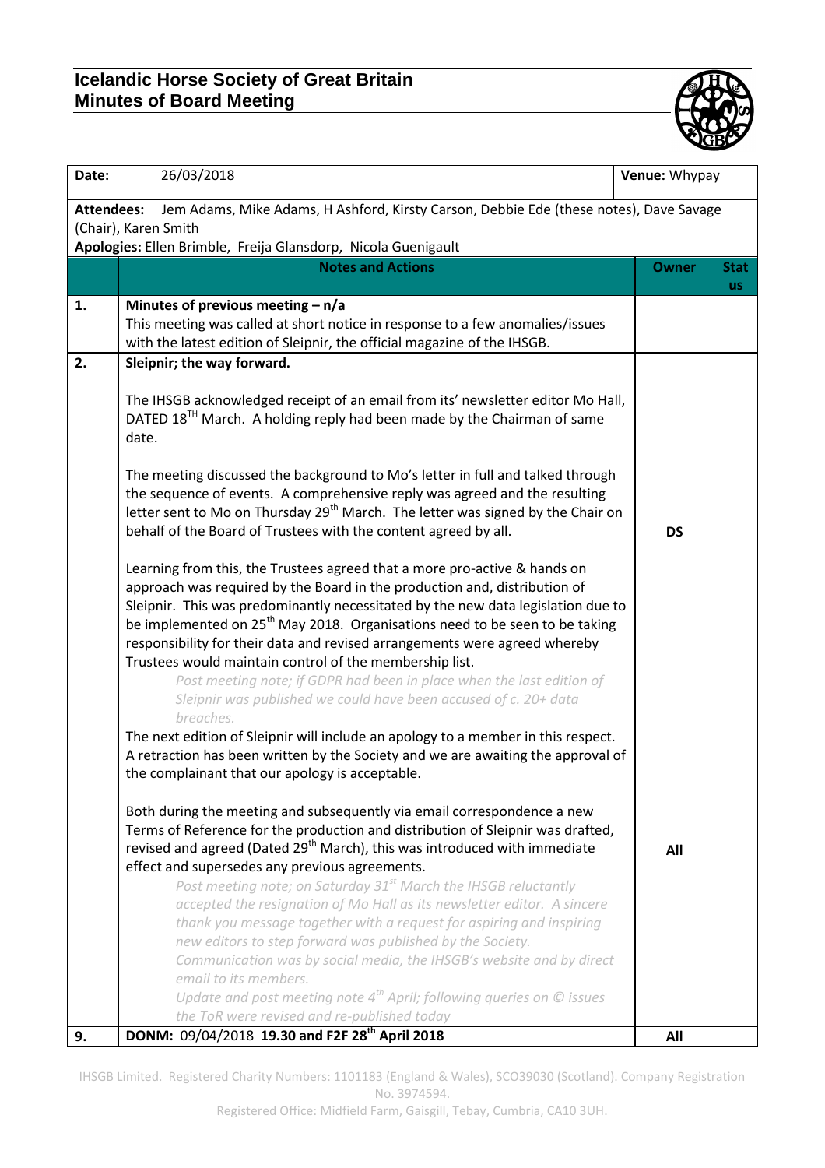## **Icelandic Horse Society of Great Britain Minutes of Board Meeting**



| Date:             | 26/03/2018                                                                                                                                                                                                                                                                                                                                                                                                                                                                                                                                                                                                                                                                                                                                                                                                                               | Venue: Whypay |                          |
|-------------------|------------------------------------------------------------------------------------------------------------------------------------------------------------------------------------------------------------------------------------------------------------------------------------------------------------------------------------------------------------------------------------------------------------------------------------------------------------------------------------------------------------------------------------------------------------------------------------------------------------------------------------------------------------------------------------------------------------------------------------------------------------------------------------------------------------------------------------------|---------------|--------------------------|
| <b>Attendees:</b> | Jem Adams, Mike Adams, H Ashford, Kirsty Carson, Debbie Ede (these notes), Dave Savage                                                                                                                                                                                                                                                                                                                                                                                                                                                                                                                                                                                                                                                                                                                                                   |               |                          |
|                   | (Chair), Karen Smith                                                                                                                                                                                                                                                                                                                                                                                                                                                                                                                                                                                                                                                                                                                                                                                                                     |               |                          |
|                   | Apologies: Ellen Brimble, Freija Glansdorp, Nicola Guenigault                                                                                                                                                                                                                                                                                                                                                                                                                                                                                                                                                                                                                                                                                                                                                                            |               |                          |
|                   | <b>Notes and Actions</b>                                                                                                                                                                                                                                                                                                                                                                                                                                                                                                                                                                                                                                                                                                                                                                                                                 | <b>Owner</b>  | <b>Stat</b><br><b>US</b> |
| 1.                | Minutes of previous meeting $- n/a$                                                                                                                                                                                                                                                                                                                                                                                                                                                                                                                                                                                                                                                                                                                                                                                                      |               |                          |
|                   | This meeting was called at short notice in response to a few anomalies/issues                                                                                                                                                                                                                                                                                                                                                                                                                                                                                                                                                                                                                                                                                                                                                            |               |                          |
|                   | with the latest edition of Sleipnir, the official magazine of the IHSGB.                                                                                                                                                                                                                                                                                                                                                                                                                                                                                                                                                                                                                                                                                                                                                                 |               |                          |
| 2.                | Sleipnir; the way forward.                                                                                                                                                                                                                                                                                                                                                                                                                                                                                                                                                                                                                                                                                                                                                                                                               |               |                          |
|                   | The IHSGB acknowledged receipt of an email from its' newsletter editor Mo Hall,<br>DATED 18 <sup>TH</sup> March. A holding reply had been made by the Chairman of same<br>date.                                                                                                                                                                                                                                                                                                                                                                                                                                                                                                                                                                                                                                                          |               |                          |
|                   | The meeting discussed the background to Mo's letter in full and talked through<br>the sequence of events. A comprehensive reply was agreed and the resulting<br>letter sent to Mo on Thursday 29 <sup>th</sup> March. The letter was signed by the Chair on<br>behalf of the Board of Trustees with the content agreed by all.                                                                                                                                                                                                                                                                                                                                                                                                                                                                                                           | <b>DS</b>     |                          |
|                   | Learning from this, the Trustees agreed that a more pro-active & hands on<br>approach was required by the Board in the production and, distribution of<br>Sleipnir. This was predominantly necessitated by the new data legislation due to<br>be implemented on 25 <sup>th</sup> May 2018. Organisations need to be seen to be taking<br>responsibility for their data and revised arrangements were agreed whereby<br>Trustees would maintain control of the membership list.                                                                                                                                                                                                                                                                                                                                                           |               |                          |
|                   | Post meeting note; if GDPR had been in place when the last edition of<br>Sleipnir was published we could have been accused of c. 20+ data<br>breaches.<br>The next edition of Sleipnir will include an apology to a member in this respect.<br>A retraction has been written by the Society and we are awaiting the approval of<br>the complainant that our apology is acceptable.                                                                                                                                                                                                                                                                                                                                                                                                                                                       |               |                          |
|                   | Both during the meeting and subsequently via email correspondence a new<br>Terms of Reference for the production and distribution of Sleipnir was drafted,<br>revised and agreed (Dated 29 <sup>th</sup> March), this was introduced with immediate<br>effect and supersedes any previous agreements.<br>Post meeting note; on Saturday 31 <sup>st</sup> March the IHSGB reluctantly<br>accepted the resignation of Mo Hall as its newsletter editor. A sincere<br>thank you message together with a request for aspiring and inspiring<br>new editors to step forward was published by the Society.<br>Communication was by social media, the IHSGB's website and by direct<br>email to its members.<br>Update and post meeting note $4^{th}$ April; following queries on $\odot$ issues<br>the ToR were revised and re-published today | All           |                          |
| 9.                | DONM: 09/04/2018 19.30 and F2F 28 <sup>th</sup> April 2018                                                                                                                                                                                                                                                                                                                                                                                                                                                                                                                                                                                                                                                                                                                                                                               | All           |                          |

IHSGB Limited. Registered Charity Numbers: 1101183 (England & Wales), SCO39030 (Scotland). Company Registration No. 3974594.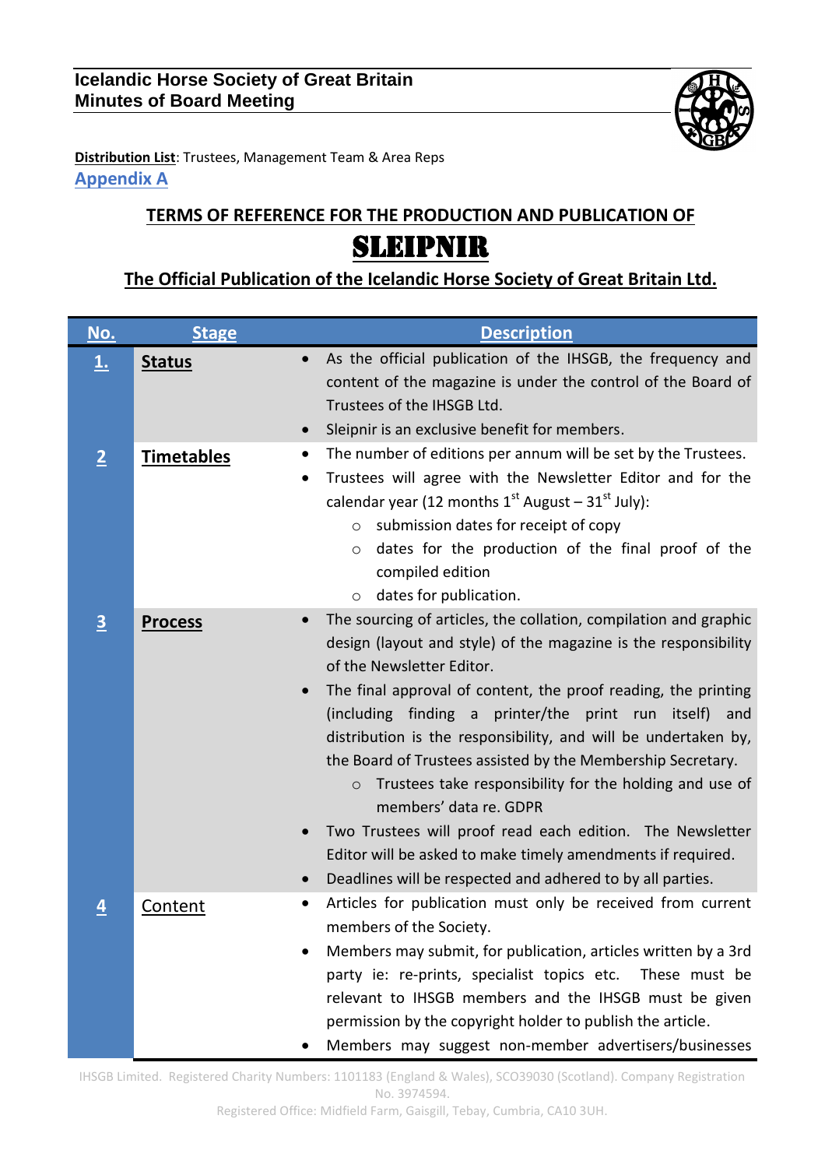

**Distribution List**: Trustees, Management Team & Area Reps **Appendix A**

## **TERMS OF REFERENCE FOR THE PRODUCTION AND PUBLICATION OF** SLEIPNIR

## **The Official Publication of the Icelandic Horse Society of Great Britain Ltd.**

| No.               | <b>Stage</b>      | <b>Description</b>                                                                                                                                                                                                                                                                                                                                                                                                                                                                                                                                                                                                                                                                                                                                |
|-------------------|-------------------|---------------------------------------------------------------------------------------------------------------------------------------------------------------------------------------------------------------------------------------------------------------------------------------------------------------------------------------------------------------------------------------------------------------------------------------------------------------------------------------------------------------------------------------------------------------------------------------------------------------------------------------------------------------------------------------------------------------------------------------------------|
| $\overline{\tau}$ | <b>Status</b>     | As the official publication of the IHSGB, the frequency and<br>$\bullet$<br>content of the magazine is under the control of the Board of<br>Trustees of the IHSGB Ltd.<br>Sleipnir is an exclusive benefit for members.<br>$\bullet$                                                                                                                                                                                                                                                                                                                                                                                                                                                                                                              |
| $\overline{2}$    | <b>Timetables</b> | The number of editions per annum will be set by the Trustees.<br>$\bullet$<br>Trustees will agree with the Newsletter Editor and for the<br>٠<br>calendar year (12 months $1^{st}$ August - $31^{st}$ July):<br>submission dates for receipt of copy<br>$\circ$<br>dates for the production of the final proof of the<br>$\circ$<br>compiled edition<br>dates for publication.<br>$\circ$                                                                                                                                                                                                                                                                                                                                                         |
| $\overline{3}$    | <b>Process</b>    | The sourcing of articles, the collation, compilation and graphic<br>design (layout and style) of the magazine is the responsibility<br>of the Newsletter Editor.<br>The final approval of content, the proof reading, the printing<br>$\bullet$<br>(including finding a printer/the print run itself) and<br>distribution is the responsibility, and will be undertaken by,<br>the Board of Trustees assisted by the Membership Secretary.<br>Trustees take responsibility for the holding and use of<br>$\circ$<br>members' data re. GDPR<br>Two Trustees will proof read each edition. The Newsletter<br>Editor will be asked to make timely amendments if required.<br>Deadlines will be respected and adhered to by all parties.<br>$\bullet$ |
| $\overline{4}$    | Content           | Articles for publication must only be received from current<br>٠<br>members of the Society.<br>Members may submit, for publication, articles written by a 3rd<br>party ie: re-prints, specialist topics etc. These must be<br>relevant to IHSGB members and the IHSGB must be given<br>permission by the copyright holder to publish the article.<br>Members may suggest non-member advertisers/businesses                                                                                                                                                                                                                                                                                                                                        |

IHSGB Limited. Registered Charity Numbers: 1101183 (England & Wales), SCO39030 (Scotland). Company Registration No. 3974594.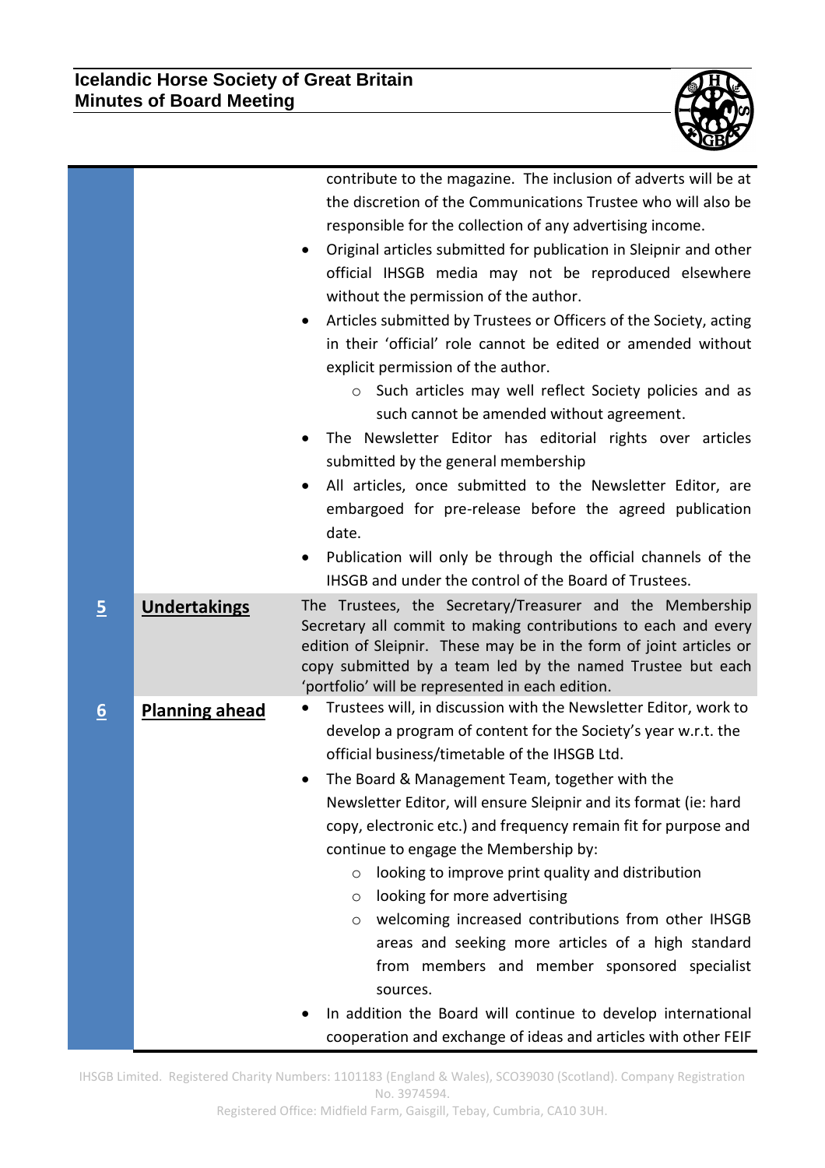

|                |                       | contribute to the magazine. The inclusion of adverts will be at<br>the discretion of the Communications Trustee who will also be<br>responsible for the collection of any advertising income.<br>Original articles submitted for publication in Sleipnir and other<br>$\bullet$<br>official IHSGB media may not be reproduced elsewhere<br>without the permission of the author.<br>Articles submitted by Trustees or Officers of the Society, acting<br>in their 'official' role cannot be edited or amended without<br>explicit permission of the author.<br>o Such articles may well reflect Society policies and as<br>such cannot be amended without agreement.<br>The Newsletter Editor has editorial rights over articles<br>submitted by the general membership<br>All articles, once submitted to the Newsletter Editor, are<br>embargoed for pre-release before the agreed publication<br>date.<br>Publication will only be through the official channels of the<br>$\bullet$ |
|----------------|-----------------------|-----------------------------------------------------------------------------------------------------------------------------------------------------------------------------------------------------------------------------------------------------------------------------------------------------------------------------------------------------------------------------------------------------------------------------------------------------------------------------------------------------------------------------------------------------------------------------------------------------------------------------------------------------------------------------------------------------------------------------------------------------------------------------------------------------------------------------------------------------------------------------------------------------------------------------------------------------------------------------------------|
|                |                       | IHSGB and under the control of the Board of Trustees.                                                                                                                                                                                                                                                                                                                                                                                                                                                                                                                                                                                                                                                                                                                                                                                                                                                                                                                                   |
| $\overline{5}$ | <b>Undertakings</b>   | The Trustees, the Secretary/Treasurer and the Membership<br>Secretary all commit to making contributions to each and every<br>edition of Sleipnir. These may be in the form of joint articles or<br>copy submitted by a team led by the named Trustee but each<br>'portfolio' will be represented in each edition.                                                                                                                                                                                                                                                                                                                                                                                                                                                                                                                                                                                                                                                                      |
| 6              | <b>Planning ahead</b> | Trustees will, in discussion with the Newsletter Editor, work to<br>develop a program of content for the Society's year w.r.t. the<br>official business/timetable of the IHSGB Ltd.<br>The Board & Management Team, together with the<br>Newsletter Editor, will ensure Sleipnir and its format (ie: hard<br>copy, electronic etc.) and frequency remain fit for purpose and<br>continue to engage the Membership by:<br>looking to improve print quality and distribution<br>$\circ$<br>looking for more advertising<br>O<br>welcoming increased contributions from other IHSGB<br>$\circ$<br>areas and seeking more articles of a high standard<br>from members and member sponsored specialist<br>sources.<br>In addition the Board will continue to develop international<br>cooperation and exchange of ideas and articles with other FEIF                                                                                                                                         |

IHSGB Limited. Registered Charity Numbers: 1101183 (England & Wales), SCO39030 (Scotland). Company Registration No. 3974594.